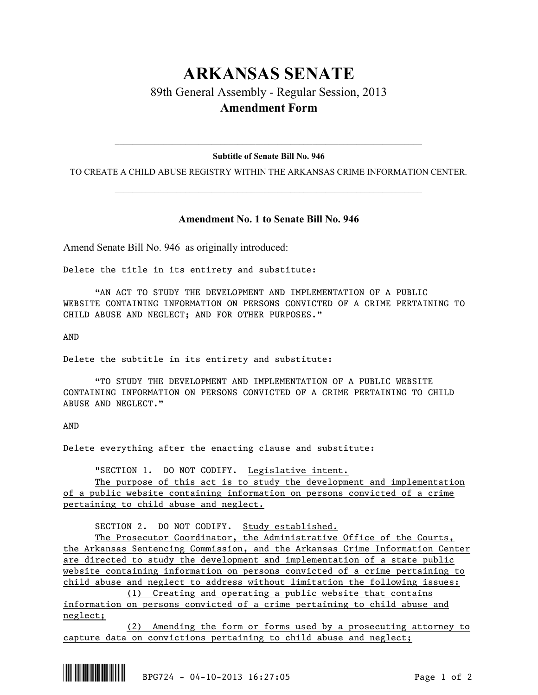## **ARKANSAS SENATE**

89th General Assembly - Regular Session, 2013 **Amendment Form**

## $\mathcal{L}_\text{max} = \mathcal{L}_\text{max} = \mathcal{L}_\text{max} = \mathcal{L}_\text{max} = \mathcal{L}_\text{max} = \mathcal{L}_\text{max} = \mathcal{L}_\text{max} = \mathcal{L}_\text{max} = \mathcal{L}_\text{max} = \mathcal{L}_\text{max} = \mathcal{L}_\text{max} = \mathcal{L}_\text{max} = \mathcal{L}_\text{max} = \mathcal{L}_\text{max} = \mathcal{L}_\text{max} = \mathcal{L}_\text{max} = \mathcal{L}_\text{max} = \mathcal{L}_\text{max} = \mathcal{$ **Subtitle of Senate Bill No. 946**

TO CREATE A CHILD ABUSE REGISTRY WITHIN THE ARKANSAS CRIME INFORMATION CENTER.  $\mathcal{L}_\text{max} = \mathcal{L}_\text{max} = \mathcal{L}_\text{max} = \mathcal{L}_\text{max} = \mathcal{L}_\text{max} = \mathcal{L}_\text{max} = \mathcal{L}_\text{max} = \mathcal{L}_\text{max} = \mathcal{L}_\text{max} = \mathcal{L}_\text{max} = \mathcal{L}_\text{max} = \mathcal{L}_\text{max} = \mathcal{L}_\text{max} = \mathcal{L}_\text{max} = \mathcal{L}_\text{max} = \mathcal{L}_\text{max} = \mathcal{L}_\text{max} = \mathcal{L}_\text{max} = \mathcal{$ 

## **Amendment No. 1 to Senate Bill No. 946**

Amend Senate Bill No. 946 as originally introduced:

Delete the title in its entirety and substitute:

"AN ACT TO STUDY THE DEVELOPMENT AND IMPLEMENTATION OF A PUBLIC WEBSITE CONTAINING INFORMATION ON PERSONS CONVICTED OF A CRIME PERTAINING TO CHILD ABUSE AND NEGLECT; AND FOR OTHER PURPOSES."

AND

Delete the subtitle in its entirety and substitute:

"TO STUDY THE DEVELOPMENT AND IMPLEMENTATION OF A PUBLIC WEBSITE CONTAINING INFORMATION ON PERSONS CONVICTED OF A CRIME PERTAINING TO CHILD ABUSE AND NEGLECT."

AND

Delete everything after the enacting clause and substitute:

"SECTION 1. DO NOT CODIFY. Legislative intent.

The purpose of this act is to study the development and implementation of a public website containing information on persons convicted of a crime pertaining to child abuse and neglect.

SECTION 2. DO NOT CODIFY. Study established.

The Prosecutor Coordinator, the Administrative Office of the Courts, the Arkansas Sentencing Commission, and the Arkansas Crime Information Center are directed to study the development and implementation of a state public website containing information on persons convicted of a crime pertaining to child abuse and neglect to address without limitation the following issues:

(1) Creating and operating a public website that contains information on persons convicted of a crime pertaining to child abuse and neglect;

(2) Amending the form or forms used by a prosecuting attorney to capture data on convictions pertaining to child abuse and neglect;